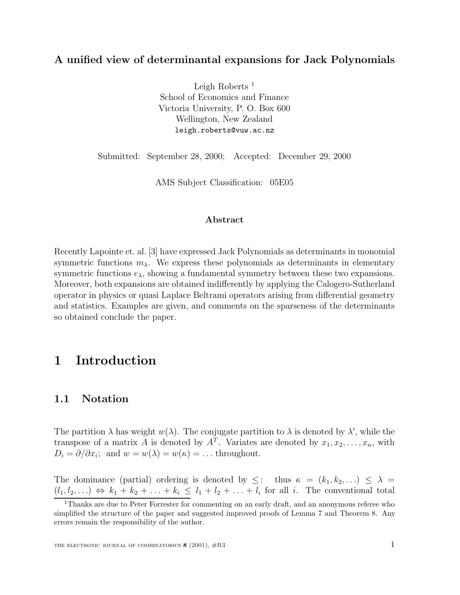## **A unified view of determinantal expansions for Jack Polynomials**

Leigh Roberts<sup>1</sup> School of Economics and Finance Victoria University, P. O. Box 600 Wellington, New Zealand leigh.roberts@vuw.ac.nz

Submitted: September 28, 2000; Accepted: December 29, 2000

AMS Subject Classification: 05E05

#### **Abstract**

Recently Lapointe et. al. [3] have expressed Jack Polynomials as determinants in monomial symmetric functions  $m_{\lambda}$ . We express these polynomials as determinants in elementary symmetric functions  $e_{\lambda}$ , showing a fundamental symmetry between these two expansions. Moreover, both expansions are obtained indifferently by applying the Calogero-Sutherland operator in physics or quasi Laplace Beltrami operators arising from differential geometry and statistics. Examples are given, and comments on the sparseness of the determinants so obtained conclude the paper.

# **1 Introduction**

### **1.1 Notation**

The partition  $\lambda$  has weight  $w(\lambda)$ . The conjugate partition to  $\lambda$  is denoted by  $\lambda'$ , while the transpose of a matrix A is denoted by  $A<sup>T</sup>$ . Variates are denoted by  $x_1, x_2, \ldots, x_n$ , with  $D_i = \partial/\partial x_i$ ; and  $w = w(\lambda) = w(\kappa) = \dots$  throughout.

The dominance (partial) ordering is denoted by  $\leq$ : thus  $\kappa = (k_1, k_2,...) \leq \lambda$  $(l_1, l_2,...) \Leftrightarrow k_1 + k_2 + ... + k_i \leq l_1 + l_2 + ... + l_i$  for all i. The conventional total

<sup>&</sup>lt;sup>1</sup>Thanks are due to Peter Forrester for commenting on an early draft, and an anonymous referee who simplified the structure of the paper and suggested improved proofs of Lemma 7 and Theorem 8. Any errors remain the responsibility of the author.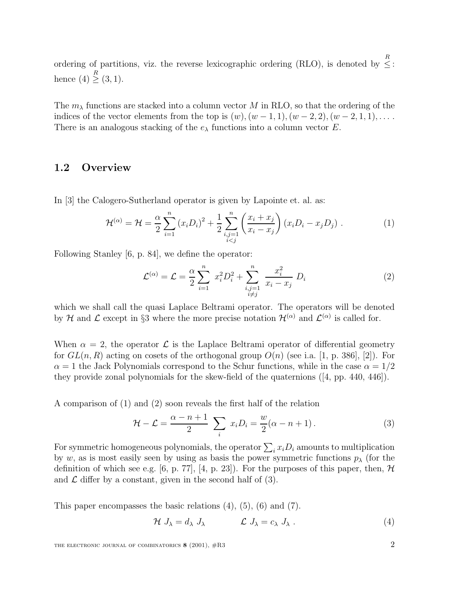ordering of partitions, viz. the reverse lexicographic ordering (RLO), is denoted by  $\leq$ : hence  $(4) \geq {R \choose 3, 1}$ .

The  $m<sub>\lambda</sub>$  functions are stacked into a column vector M in RLO, so that the ordering of the indices of the vector elements from the top is  $(w)$ ,  $(w - 1, 1)$ ,  $(w - 2, 2)$ ,  $(w - 2, 1, 1)$ ,... There is an analogous stacking of the  $e_{\lambda}$  functions into a column vector E.

## **1.2 Overview**

In [3] the Calogero-Sutherland operator is given by Lapointe et. al. as:

$$
\mathcal{H}^{(\alpha)} = \mathcal{H} = \frac{\alpha}{2} \sum_{i=1}^{n} (x_i D_i)^2 + \frac{1}{2} \sum_{\substack{i,j=1 \\ i < j}}^{n} \left( \frac{x_i + x_j}{x_i - x_j} \right) (x_i D_i - x_j D_j) \,. \tag{1}
$$

Following Stanley [6, p. 84], we define the operator:

$$
\mathcal{L}^{(\alpha)} = \mathcal{L} = \frac{\alpha}{2} \sum_{i=1}^{n} x_i^2 D_i^2 + \sum_{\substack{i,j=1 \ i \neq j}}^{n} \frac{x_i^2}{x_i - x_j} D_i
$$
 (2)

which we shall call the quasi Laplace Beltrami operator. The operators will be denoted by H and L except in §3 where the more precise notation  $\mathcal{H}^{(\alpha)}$  and  $\mathcal{L}^{(\alpha)}$  is called for.

When  $\alpha = 2$ , the operator  $\mathcal L$  is the Laplace Beltrami operator of differential geometry for  $GL(n, R)$  acting on cosets of the orthogonal group  $O(n)$  (see i.a. [1, p. 386], [2]). For  $\alpha = 1$  the Jack Polynomials correspond to the Schur functions, while in the case  $\alpha = 1/2$ they provide zonal polynomials for the skew-field of the quaternions ([4, pp. 440, 446]).

A comparison of (1) and (2) soon reveals the first half of the relation

$$
\mathcal{H} - \mathcal{L} = \frac{\alpha - n + 1}{2} \sum_{i} x_i D_i = \frac{w}{2} (\alpha - n + 1).
$$
 (3)

For symmetric homogeneous polynomials, the operator  $\sum_i x_i D_i$  amounts to multiplication by w, as is most easily seen by using as basis the power symmetric functions  $p_{\lambda}$  (for the definition of which see e.g. [6, p. 77], [4, p. 23]). For the purposes of this paper, then,  $\mathcal{H}$ and  $\mathcal L$  differ by a constant, given in the second half of (3).

This paper encompasses the basic relations (4), (5), (6) and (7).

$$
\mathcal{H} J_{\lambda} = d_{\lambda} J_{\lambda} \qquad \mathcal{L} J_{\lambda} = c_{\lambda} J_{\lambda} . \qquad (4)
$$

THE ELECTRONIC JOURNAL OF COMBINATORICS **8** (2001),  $\#R3$  2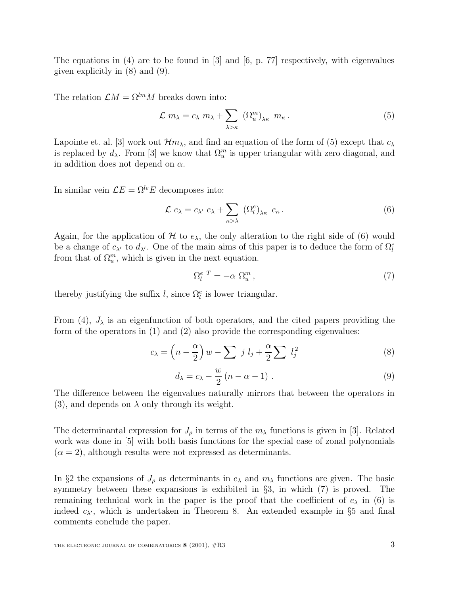The equations in (4) are to be found in [3] and  $[6, p. 77]$  respectively, with eigenvalues given explicitly in (8) and (9).

The relation  $\mathcal{L}M = \Omega^{lm}M$  breaks down into:

$$
\mathcal{L} \ m_{\lambda} = c_{\lambda} \ m_{\lambda} + \sum_{\lambda > \kappa} \left( \Omega_u^m \right)_{\lambda \kappa} \ m_{\kappa} \,. \tag{5}
$$

Lapointe et. al. [3] work out  $\mathcal{H}m_{\lambda}$ , and find an equation of the form of (5) except that  $c_{\lambda}$ is replaced by  $d_{\lambda}$ . From [3] we know that  $\Omega_u^m$  is upper triangular with zero diagonal, and in addition does not depend on  $\alpha$ .

In similar vein  $\mathcal{L} E = \Omega^{le} E$  decomposes into:

$$
\mathcal{L} e_{\lambda} = c_{\lambda'} e_{\lambda} + \sum_{\kappa > \lambda} (\Omega_l^e)_{\lambda \kappa} e_{\kappa}.
$$
 (6)

Again, for the application of H to  $e_{\lambda}$ , the only alteration to the right side of (6) would be a change of  $c_{\lambda'}$  to  $d_{\lambda'}$ . One of the main aims of this paper is to deduce the form of  $\Omega_l^e$ from that of  $\Omega_u^m$ , which is given in the next equation.

$$
\Omega_l^{e\ T} = -\alpha \ \Omega_u^m \,,\tag{7}
$$

thereby justifying the suffix l, since  $\Omega_l^e$  is lower triangular.

From  $(4)$ ,  $J_{\lambda}$  is an eigenfunction of both operators, and the cited papers providing the form of the operators in (1) and (2) also provide the corresponding eigenvalues:

$$
c_{\lambda} = \left(n - \frac{\alpha}{2}\right)w - \sum j l_j + \frac{\alpha}{2} \sum l_j^2 \tag{8}
$$

$$
d_{\lambda} = c_{\lambda} - \frac{w}{2} (n - \alpha - 1) \tag{9}
$$

The difference between the eigenvalues naturally mirrors that between the operators in (3), and depends on  $\lambda$  only through its weight.

The determinantal expression for  $J_\rho$  in terms of the  $m_\lambda$  functions is given in [3]. Related work was done in [5] with both basis functions for the special case of zonal polynomials  $(\alpha = 2)$ , although results were not expressed as determinants.

In §2 the expansions of  $J_\rho$  as determinants in  $e_\lambda$  and  $m_\lambda$  functions are given. The basic symmetry between these expansions is exhibited in §3, in which (7) is proved. The remaining technical work in the paper is the proof that the coefficient of  $e_{\lambda}$  in (6) is indeed  $c_{\lambda}$ , which is undertaken in Theorem 8. An extended example in §5 and final comments conclude the paper.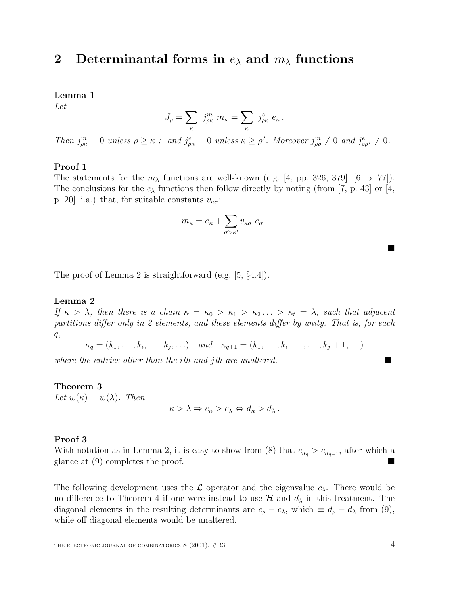## **2** Determinantal forms in  $e_{\lambda}$  and  $m_{\lambda}$  functions

**Lemma 1**

Let

$$
J_{\rho} = \sum_{\kappa} j_{\rho\kappa}^{m} m_{\kappa} = \sum_{\kappa} j_{\rho\kappa}^{e} e_{\kappa}.
$$

Then  $j_{\rho\kappa}^m = 0$  unless  $\rho \ge \kappa$ ; and  $j_{\rho\kappa}^e = 0$  unless  $\kappa \ge \rho'$ . Moreover  $j_{\rho\rho}^m \ne 0$  and  $j_{\rho\rho'}^e \ne 0$ .

#### **Proof 1**

The statements for the  $m_{\lambda}$  functions are well-known (e.g. [4, pp. 326, 379], [6, p. 77]). The conclusions for the  $e_{\lambda}$  functions then follow directly by noting (from [7, p. 43] or [4, p. 20, i.a.) that, for suitable constants  $v_{\kappa\sigma}$ :

$$
m_{\kappa} = e_{\kappa} + \sum_{\sigma > \kappa'} v_{\kappa\sigma} \; e_{\sigma} \, .
$$

The proof of Lemma 2 is straightforward (e.g. [5, §4.4]).

#### **Lemma 2**

If  $\kappa > \lambda$ , then there is a chain  $\kappa = \kappa_0 > \kappa_1 > \kappa_2 ... > \kappa_t = \lambda$ , such that adjacent partitions differ only in 2 elements, and these elements differ by unity. That is, for each  $q,$ 

 $\kappa_q = (k_1, \ldots, k_i, \ldots, k_j, \ldots)$  and  $\kappa_{q+1} = (k_1, \ldots, k_i - 1, \ldots, k_j + 1, \ldots)$ 

where the entries other than the ith and jth are unaltered.

#### **Theorem 3**

Let  $w(\kappa) = w(\lambda)$ . Then

$$
\kappa > \lambda \Rightarrow c_{\kappa} > c_{\lambda} \Leftrightarrow d_{\kappa} > d_{\lambda}.
$$

#### **Proof 3**

With notation as in Lemma 2, it is easy to show from (8) that  $c_{\kappa_q} > c_{\kappa_{q+1}}$ , after which a glance at (9) completes the proof.

The following development uses the  $\mathcal L$  operator and the eigenvalue  $c_{\lambda}$ . There would be no difference to Theorem 4 if one were instead to use  $\mathcal{H}$  and  $d_{\lambda}$  in this treatment. The diagonal elements in the resulting determinants are  $c_{\rho} - c_{\lambda}$ , which  $\equiv d_{\rho} - d_{\lambda}$  from (9), while off diagonal elements would be unaltered.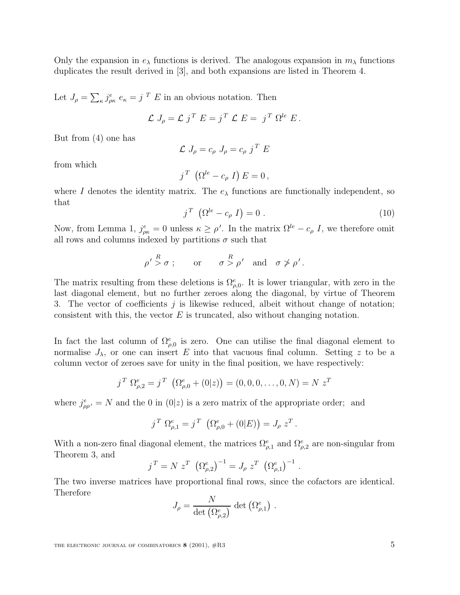Only the expansion in  $e_{\lambda}$  functions is derived. The analogous expansion in  $m_{\lambda}$  functions duplicates the result derived in [3], and both expansions are listed in Theorem 4.

Let  $J_{\rho} = \sum_{\kappa} j_{\rho\kappa}^e e_{\kappa} = j^T E$  in an obvious notation. Then

$$
\mathcal{L} J_{\rho} = \mathcal{L} j^T E = j^T \mathcal{L} E = j^T \Omega^{le} E.
$$

But from (4) one has

$$
\mathcal{L} J_{\rho} = c_{\rho} J_{\rho} = c_{\rho} j^{T} E
$$

from which

$$
j^T \left( \Omega^{le} - c_{\rho} I \right) E = 0 \,,
$$

where I denotes the identity matrix. The  $e_{\lambda}$  functions are functionally independent, so that

$$
j^T \left( \Omega^{le} - c_\rho I \right) = 0 \tag{10}
$$

Now, from Lemma 1,  $j_{\rho\kappa}^e = 0$  unless  $\kappa \ge \rho'$ . In the matrix  $\Omega^{le} - c_{\rho} I$ , we therefore omit all rows and columns indexed by partitions  $\sigma$  such that

$$
\rho' \stackrel{R}{>} \sigma \; ; \qquad \text{or} \qquad \sigma \stackrel{R}{>} \rho' \quad \text{and} \quad \sigma \not > \rho'.
$$

The matrix resulting from these deletions is  $\Omega_{\rho,0}^e$ . It is lower triangular, with zero in the last diagonal element, but no further zeroes along the diagonal, by virtue of Theorem 3. The vector of coefficients  $j$  is likewise reduced, albeit without change of notation; consistent with this, the vector  $E$  is truncated, also without changing notation.

In fact the last column of  $\Omega_{\rho,0}^e$  is zero. One can utilise the final diagonal element to normalise  $J_{\lambda}$ , or one can insert E into that vacuous final column. Setting z to be a column vector of zeroes save for unity in the final position, we have respectively:

$$
j^T \Omega_{\rho,2}^e = j^T \left( \Omega_{\rho,0}^e + (0|z) \right) = (0,0,0,\ldots,0,N) = N z^T
$$

where  $j_{\rho\rho'}^e = N$  and the 0 in  $(0|z)$  is a zero matrix of the appropriate order; and

$$
j^{T} \Omega_{\rho,1}^{e} = j^{T} \left( \Omega_{\rho,0}^{e} + (0|E) \right) = J_{\rho} z^{T}.
$$

With a non-zero final diagonal element, the matrices  $\Omega_{\rho,1}^e$  and  $\Omega_{\rho,2}^e$  are non-singular from Theorem 3, and

$$
j^T = N z^T (\Omega_{\rho,2}^e)^{-1} = J_\rho z^T (\Omega_{\rho,1}^e)^{-1}.
$$

The two inverse matrices have proportional final rows, since the cofactors are identical. Therefore

$$
J_{\rho} = \frac{N}{\det(\Omega^e_{\rho,2})} \, \det(\Omega^e_{\rho,1}) \ .
$$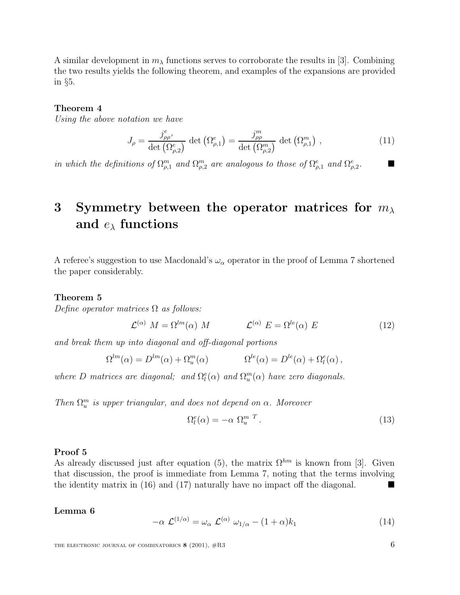A similar development in  $m<sub>\lambda</sub>$  functions serves to corroborate the results in [3]. Combining the two results yields the following theorem, and examples of the expansions are provided in §5.

#### **Theorem 4**

Using the above notation we have

$$
J_{\rho} = \frac{j_{\rho\rho}^e}{\det(\Omega_{\rho,2}^e)} \det(\Omega_{\rho,1}^e) = \frac{j_{\rho\rho}^m}{\det(\Omega_{\rho,2}^m)} \det(\Omega_{\rho,1}^m) , \qquad (11)
$$

in which the definitions of  $\Omega_{\rho,1}^m$  and  $\Omega_{\rho,2}^m$  are analogous to those of  $\Omega_{\rho,1}^e$  and  $\Omega_{\rho,2}^e$ .

# **3 Symmetry between the operator matrices for** mλ **and** eλ **functions**

A referee's suggestion to use Macdonald's  $\omega_{\alpha}$  operator in the proof of Lemma 7 shortened the paper considerably.

#### **Theorem 5**

Define operator matrices  $\Omega$  as follows:

$$
\mathcal{L}^{(\alpha)} M = \Omega^{lm}(\alpha) M \qquad \qquad \mathcal{L}^{(\alpha)} E = \Omega^{le}(\alpha) E \qquad (12)
$$

and break them up into diagonal and off-diagonal portions

$$
\Omega^{lm}(\alpha) = D^{lm}(\alpha) + \Omega_u^m(\alpha) \qquad \Omega^{le}(\alpha) = D^{le}(\alpha) + \Omega_l^e(\alpha) ,
$$

where D matrices are diagonal; and  $\Omega_l^e(\alpha)$  and  $\Omega_u^m(\alpha)$  have zero diagonals.

Then  $\Omega_u^m$  is upper triangular, and does not depend on  $\alpha$ . Moreover

$$
\Omega_l^e(\alpha) = -\alpha \ \Omega_u^{m \ T} \,. \tag{13}
$$

#### **Proof 5**

As already discussed just after equation (5), the matrix  $\Omega^{hm}$  is known from [3]. Given that discussion, the proof is immediate from Lemma 7, noting that the terms involving the identity matrix in (16) and (17) naturally have no impact off the diagonal.

#### **Lemma 6**

$$
-\alpha \mathcal{L}^{(1/\alpha)} = \omega_{\alpha} \mathcal{L}^{(\alpha)} \omega_{1/\alpha} - (1+\alpha)k_1 \tag{14}
$$

THE ELECTRONIC JOURNAL OF COMBINATORICS **8** (2001),  $#R3$  6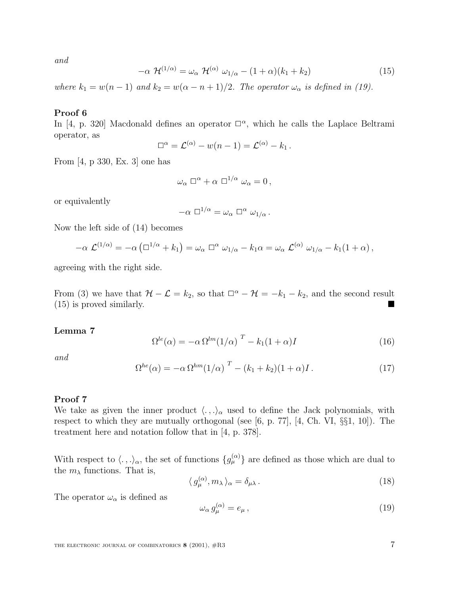and

$$
-\alpha \mathcal{H}^{(1/\alpha)} = \omega_{\alpha} \mathcal{H}^{(\alpha)} \omega_{1/\alpha} - (1+\alpha)(k_1 + k_2)
$$
 (15)

where  $k_1 = w(n-1)$  and  $k_2 = w(\alpha - n + 1)/2$ . The operator  $\omega_\alpha$  is defined in (19).

#### **Proof 6**

In [4, p. 320] Macdonald defines an operator  $\square^{\alpha}$ , which he calls the Laplace Beltrami operator, as

$$
\Box^{\alpha} = \mathcal{L}^{(\alpha)} - w(n-1) = \mathcal{L}^{(\alpha)} - k_1.
$$

From [4, p 330, Ex. 3] one has

$$
\omega_{\alpha} \Box^{\alpha} + \alpha \Box^{1/\alpha} \omega_{\alpha} = 0,
$$

or equivalently

$$
-\alpha \Box^{1/\alpha} = \omega_{\alpha} \Box^{\alpha} \omega_{1/\alpha}.
$$

Now the left side of (14) becomes

$$
-\alpha \mathcal{L}^{(1/\alpha)} = -\alpha \left( \Box^{1/\alpha} + k_1 \right) = \omega_\alpha \Box^\alpha \omega_{1/\alpha} - k_1 \alpha = \omega_\alpha \mathcal{L}^{(\alpha)} \omega_{1/\alpha} - k_1 (1+\alpha),
$$

agreeing with the right side.

From (3) we have that  $\mathcal{H}-\mathcal{L}=k_2$ , so that  $\square^{\alpha}-\mathcal{H}=-k_1-k_2$ , and the second result (15) is proved similarly.

#### **Lemma 7**

$$
\Omega^{le}(\alpha) = -\alpha \Omega^{lm}(1/\alpha)^T - k_1(1+\alpha)I \tag{16}
$$

and

$$
\Omega^{he}(\alpha) = -\alpha \Omega^{hm} (1/\alpha)^T - (k_1 + k_2)(1+\alpha)I. \qquad (17)
$$

#### **Proof 7**

We take as given the inner product  $\langle .,.\rangle_{\alpha}$  used to define the Jack polynomials, with respect to which they are mutually orthogonal (see [6, p. 77], [4, Ch. VI, §§1, 10]). The treatment here and notation follow that in [4, p. 378].

With respect to  $\langle .,.\rangle_{\alpha}$ , the set of functions  ${g_{\mu}^{(\alpha)}}$  are defined as those which are dual to the  $m_\lambda$  functions. That is,

$$
\langle g_{\mu}^{(\alpha)}, m_{\lambda} \rangle_{\alpha} = \delta_{\mu\lambda} \,. \tag{18}
$$

The operator  $\omega_{\alpha}$  is defined as

$$
\omega_{\alpha} g_{\mu}^{(\alpha)} = e_{\mu} \,, \tag{19}
$$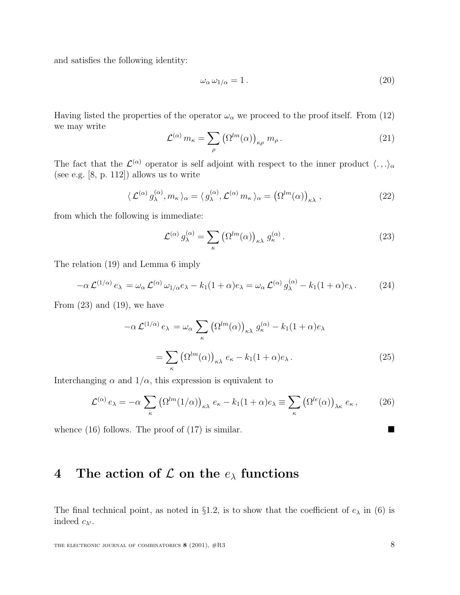and satisfies the following identity:

$$
\omega_{\alpha}\,\omega_{1/\alpha}=1\,. \tag{20}
$$

Having listed the properties of the operator  $\omega_{\alpha}$  we proceed to the proof itself. From (12) we may write

$$
\mathcal{L}^{(\alpha)} m_{\kappa} = \sum_{\rho} \left( \Omega^{lm}(\alpha) \right)_{\kappa \rho} m_{\rho} . \tag{21}
$$

The fact that the  $\mathcal{L}^{(\alpha)}$  operator is self adjoint with respect to the inner product  $\langle .,.\rangle_{\alpha}$ (see e.g. [8, p. 112]) allows us to write

$$
\langle \mathcal{L}^{(\alpha)} g_{\lambda}^{(\alpha)}, m_{\kappa} \rangle_{\alpha} = \langle g_{\lambda}^{(\alpha)}, \mathcal{L}^{(\alpha)} m_{\kappa} \rangle_{\alpha} = (\Omega^{lm}(\alpha))_{\kappa\lambda}, \qquad (22)
$$

from which the following is immediate:

$$
\mathcal{L}^{(\alpha)} g_{\lambda}^{(\alpha)} = \sum_{\kappa} \left( \Omega^{lm}(\alpha) \right)_{\kappa \lambda} g_{\kappa}^{(\alpha)} . \tag{23}
$$

The relation (19) and Lemma 6 imply

$$
-\alpha \mathcal{L}^{(1/\alpha)} e_{\lambda} = \omega_{\alpha} \mathcal{L}^{(\alpha)} \omega_{1/\alpha} e_{\lambda} - k_1 (1+\alpha) e_{\lambda} = \omega_{\alpha} \mathcal{L}^{(\alpha)} g_{\lambda}^{(\alpha)} - k_1 (1+\alpha) e_{\lambda}.
$$
 (24)

From  $(23)$  and  $(19)$ , we have

$$
-\alpha \mathcal{L}^{(1/\alpha)} e_{\lambda} = \omega_{\alpha} \sum_{\kappa} \left( \Omega^{lm}(\alpha) \right)_{\kappa\lambda} g_{\kappa}^{(\alpha)} - k_1 (1 + \alpha) e_{\lambda}
$$

$$
= \sum_{\kappa} \left( \Omega^{lm}(\alpha) \right)_{\kappa\lambda} e_{\kappa} - k_1 (1 + \alpha) e_{\lambda} . \tag{25}
$$

Interchanging  $\alpha$  and  $1/\alpha$ , this expression is equivalent to

$$
\mathcal{L}^{(\alpha)} e_{\lambda} = -\alpha \sum_{\kappa} \left( \Omega^{lm}(1/\alpha) \right)_{\kappa \lambda} e_{\kappa} - k_1 (1+\alpha) e_{\lambda} \equiv \sum_{\kappa} \left( \Omega^{le}(\alpha) \right)_{\lambda \kappa} e_{\kappa}, \tag{26}
$$

whence  $(16)$  follows. The proof of  $(17)$  is similar.

# **4** The action of  $\mathcal L$  on the  $e_\lambda$  functions

The final technical point, as noted in §1.2, is to show that the coefficient of  $e_{\lambda}$  in (6) is indeed  $c_{\lambda'}$ .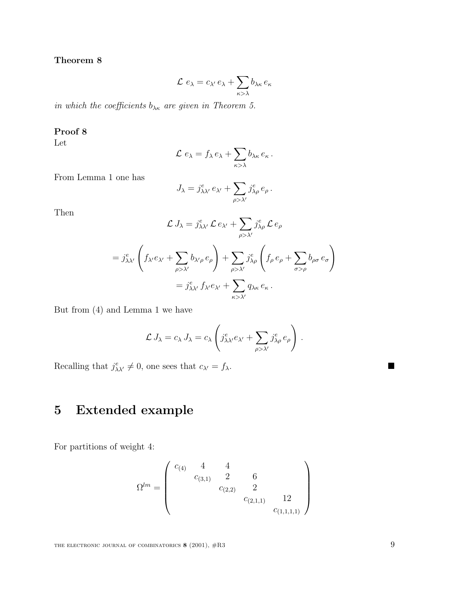### **Theorem 8**

$$
\mathcal{L} e_{\lambda} = c_{\lambda'} e_{\lambda} + \sum_{\kappa > \lambda} b_{\lambda \kappa} e_{\kappa}
$$

in which the coefficients  $b_{\lambda\kappa}$  are given in Theorem 5.

#### **Proof 8**

Let

$$
\mathcal{L} e_{\lambda} = f_{\lambda} e_{\lambda} + \sum_{\kappa > \lambda} b_{\lambda \kappa} e_{\kappa}.
$$

From Lemma 1 one has

$$
J_{\lambda} = j_{\lambda\lambda'}^e e_{\lambda'} + \sum_{\rho > \lambda'} j_{\lambda\rho}^e e_{\rho}.
$$

Then

$$
\mathcal{L} J_{\lambda} = j_{\lambda\lambda'}^{e} \mathcal{L} e_{\lambda'} + \sum_{\rho > \lambda'} j_{\lambda\rho}^{e} \mathcal{L} e_{\rho}
$$
  
=  $j_{\lambda\lambda'}^{e} \left( f_{\lambda'} e_{\lambda'} + \sum_{\rho > \lambda'} b_{\lambda'\rho} e_{\rho} \right) + \sum_{\rho > \lambda'} j_{\lambda\rho}^{e} \left( f_{\rho} e_{\rho} + \sum_{\sigma > \rho} b_{\rho\sigma} e_{\sigma} \right)$   
=  $j_{\lambda\lambda'}^{e} f_{\lambda'} e_{\lambda'} + \sum_{\kappa > \lambda'} q_{\lambda\kappa} e_{\kappa}.$ 

But from (4) and Lemma 1 we have

$$
\mathcal{L} J_{\lambda} = c_{\lambda} J_{\lambda} = c_{\lambda} \left( j_{\lambda \lambda'}^e e_{\lambda'} + \sum_{\rho > \lambda'} j_{\lambda \rho}^e e_{\rho} \right) .
$$

Recalling that  $j_{\lambda\lambda'}^e \neq 0$ , one sees that  $c_{\lambda'} = f_{\lambda}$ .

# **5 Extended example**

For partitions of weight 4:

$$
\Omega^{lm} = \begin{pmatrix} c_{(4)} & 4 & 4 \\ & c_{(3,1)} & 2 & 6 \\ & & c_{(2,2)} & 2 \\ & & & c_{(2,1,1)} & 12 \\ & & & & c_{(1,1,1,1)} \end{pmatrix}
$$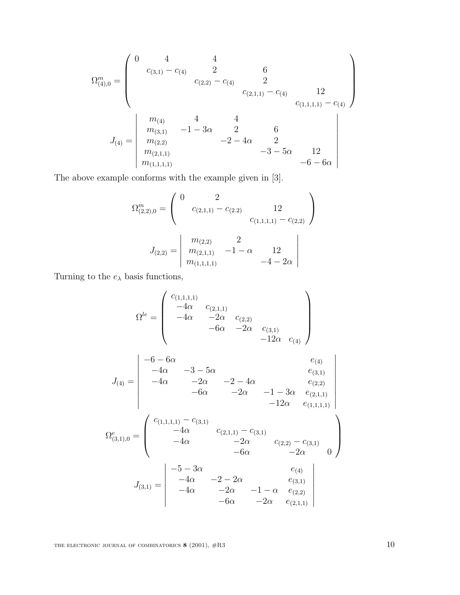$$
\Omega_{(4),0}^{m} = \begin{pmatrix}\n0 & 4 & 4 \\
c_{(3,1)} - c_{(4)} & 2 & 6 \\
c_{(2,2)} - c_{(4)} & 2 & \\
& c_{(2,1,1)} - c_{(4)} & 12 \\
& & & c_{(1,1,1,1)} - c_{(4)} \\
& & & m_{(3,1)} -1 - 3\alpha & 2 & 6 \\
& & m_{(2,2)} & -2 - 4\alpha & 2 & \\
& & m_{(2,1,1)} & & & -3 - 5\alpha & 12 \\
& & & m_{(1,1,1,1)} & & & -6 - 6\alpha\n\end{pmatrix}
$$

The above example conforms with the example given in [3].

$$
\Omega_{(2,2),0}^{m} = \begin{pmatrix} 0 & 2 & & & \\ & c_{(2,1,1)} - c_{(2,2)} & 12 & \\ & & c_{(1,1,1,1)} - c_{(2,2)} \end{pmatrix}
$$

$$
J_{(2,2)} = \begin{vmatrix} m_{(2,2)} & 2 & \\ m_{(2,1,1)} & -1 - \alpha & 12 \\ m_{(1,1,1,1)} & -4 - 2\alpha \end{vmatrix}
$$

Turning to the  $e_\lambda$  basis functions,

$$
\Omega^{le} = \begin{pmatrix}\nc_{(1,1,1,1)} & -4\alpha & c_{(2,1,1)} \\
-4\alpha & -2\alpha & c_{(2,2)} \\
-6\alpha & -2\alpha & c_{(3,1)} \\
-12\alpha & c_{(4)}\n\end{pmatrix}
$$
\n
$$
J_{(4)} = \begin{vmatrix}\n-6 - 6\alpha & e_{(4)} \\
-4\alpha & -3 - 5\alpha & e_{(3,1)} \\
-4\alpha & -2\alpha & -2 - 4\alpha & e_{(2,2)} \\
-6\alpha & -2\alpha & -1 - 3\alpha & e_{(2,1,1)} \\
-12\alpha & e_{(1,1,1,1)}\n\end{vmatrix}
$$
\n
$$
\Omega_{(3,1,0}^{e} = \begin{pmatrix}\nc_{(1,1,1,1)} - c_{(3,1)} & c_{(2,1,1)} - c_{(3,1)} \\
-4\alpha & c_{(2,1,1)} - c_{(3,1)} \\
-4\alpha & -2\alpha & c_{(2,2)} - c_{(3,1)} \\
-6\alpha & -2\alpha & e_{(3,1)} \\
-4\alpha & -2\alpha & -1 - \alpha & e_{(2,2)} \\
-6\alpha & -2\alpha & e_{(2,1,1)}\n\end{pmatrix}
$$